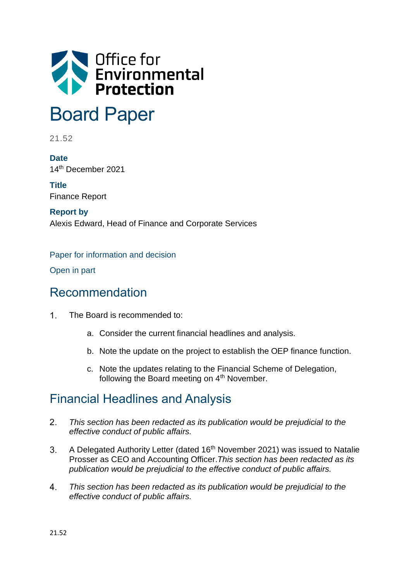

# Board Paper

21.52

**Date** 14th December 2021

**Title** Finance Report

**Report by** Alexis Edward, Head of Finance and Corporate Services

#### Paper for information and decision

Open in part

#### Recommendation

- $1<sup>1</sup>$ The Board is recommended to:
	- a. Consider the current financial headlines and analysis.
	- b. Note the update on the project to establish the OEP finance function.
	- c. Note the updates relating to the Financial Scheme of Delegation, following the Board meeting on  $4<sup>th</sup>$  November.

## Financial Headlines and Analysis

- 2. *This section has been redacted as its publication would be prejudicial to the effective conduct of public affairs.*
- A Delegated Authority Letter (dated 16<sup>th</sup> November 2021) was issued to Natalie  $3<sub>1</sub>$ Prosser as CEO and Accounting Officer.*This section has been redacted as its publication would be prejudicial to the effective conduct of public affairs.*
- $4.$ *This section has been redacted as its publication would be prejudicial to the effective conduct of public affairs.*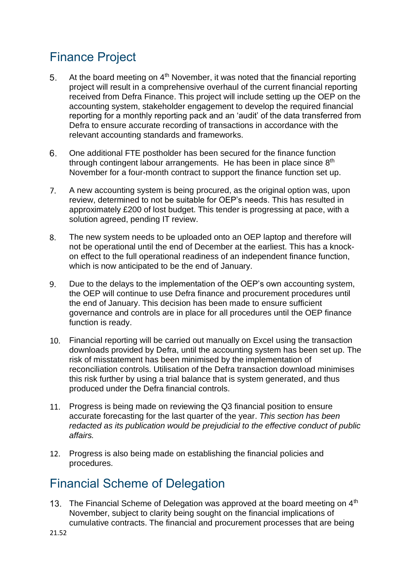## Finance Project

- At the board meeting on  $4<sup>th</sup>$  November, it was noted that the financial reporting  $5<sub>1</sub>$ project will result in a comprehensive overhaul of the current financial reporting received from Defra Finance. This project will include setting up the OEP on the accounting system, stakeholder engagement to develop the required financial reporting for a monthly reporting pack and an 'audit' of the data transferred from Defra to ensure accurate recording of transactions in accordance with the relevant accounting standards and frameworks.
- 6. One additional FTE postholder has been secured for the finance function through contingent labour arrangements. He has been in place since 8<sup>th</sup> November for a four-month contract to support the finance function set up.
- A new accounting system is being procured, as the original option was, upon 7. review, determined to not be suitable for OEP's needs. This has resulted in approximately £200 of lost budget. This tender is progressing at pace, with a solution agreed, pending IT review.
- 8. The new system needs to be uploaded onto an OEP laptop and therefore will not be operational until the end of December at the earliest. This has a knockon effect to the full operational readiness of an independent finance function, which is now anticipated to be the end of January.
- 9. Due to the delays to the implementation of the OEP's own accounting system, the OEP will continue to use Defra finance and procurement procedures until the end of January. This decision has been made to ensure sufficient governance and controls are in place for all procedures until the OEP finance function is ready.
- $10.$ Financial reporting will be carried out manually on Excel using the transaction downloads provided by Defra, until the accounting system has been set up. The risk of misstatement has been minimised by the implementation of reconciliation controls. Utilisation of the Defra transaction download minimises this risk further by using a trial balance that is system generated, and thus produced under the Defra financial controls.
- Progress is being made on reviewing the Q3 financial position to ensure accurate forecasting for the last quarter of the year. *This section has been redacted as its publication would be prejudicial to the effective conduct of public affairs.*
- 12. Progress is also being made on establishing the financial policies and procedures.

## Financial Scheme of Delegation

13. The Financial Scheme of Delegation was approved at the board meeting on  $4<sup>th</sup>$ November, subject to clarity being sought on the financial implications of cumulative contracts. The financial and procurement processes that are being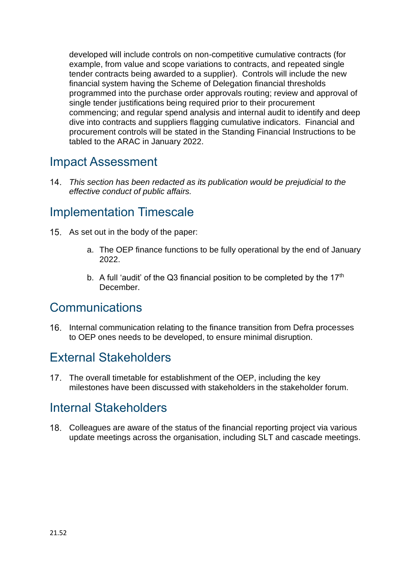developed will include controls on non-competitive cumulative contracts (for example, from value and scope variations to contracts, and repeated single tender contracts being awarded to a supplier). Controls will include the new financial system having the Scheme of Delegation financial thresholds programmed into the purchase order approvals routing; review and approval of single tender justifications being required prior to their procurement commencing; and regular spend analysis and internal audit to identify and deep dive into contracts and suppliers flagging cumulative indicators. Financial and procurement controls will be stated in the Standing Financial Instructions to be tabled to the ARAC in January 2022.

#### Impact Assessment

*This section has been redacted as its publication would be prejudicial to the effective conduct of public affairs.*

### Implementation Timescale

- 15. As set out in the body of the paper:
	- a. The OEP finance functions to be fully operational by the end of January 2022.
	- b. A full 'audit' of the Q3 financial position to be completed by the  $17<sup>th</sup>$ December.

#### **Communications**

16. Internal communication relating to the finance transition from Defra processes to OEP ones needs to be developed, to ensure minimal disruption.

## External Stakeholders

17. The overall timetable for establishment of the OEP, including the key milestones have been discussed with stakeholders in the stakeholder forum.

## Internal Stakeholders

Colleagues are aware of the status of the financial reporting project via various update meetings across the organisation, including SLT and cascade meetings.